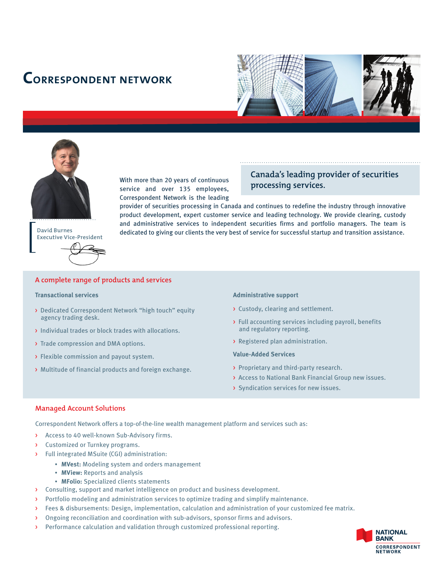# **correspondent network**





**David Burnes**

With more than 20 years of continuous service and over 135 employees, Correspondent Network is the leading

# **Canada's leading provider of securities processing services.**

provider of securities processing in Canada and continues to redefine the industry through innovative product development, expert customer service and leading technology. We provide clearing, custody and administrative services to independent securities firms and portfolio managers. The team is dedicated to giving our clients the very best of service for successful startup and transition assistance.

# A complete range of products and services

#### **Transactional services**

**Executive Vice-President** 

- > Dedicated Correspondent Network "high touch" equity agency trading desk.
- > Individual trades or block trades with allocations.
- > Trade compression and DMA options.
- > Flexible commission and payout system.
- > Multitude of financial products and foreign exchange.

#### **Administrative support**

- > Custody, clearing and settlement.
- > Full accounting services including payroll, benefits and regulatory reporting.
- > Registered plan administration.

#### **Value-Added Services**

- > Proprietary and third-party research.
- > Access to National Bank Financial Group new issues.
- > Syndication services for new issues.

#### **Managed Account Solutions**

Correspondent Network offers a top-of-the-line wealth management platform and services such as:

- > Access to 40 well-known Sub-Advisory firms.
- Customized or Turnkey programs.
- > Full integrated MSuite (CGI) administration:
	- **MVest:** Modeling system and orders management
	- **MView:** Reports and analysis
	- **MFolio:** Specialized clients statements
- > Consulting, support and market intelligence on product and business development.
- > Portfolio modeling and administration services to optimize trading and simplify maintenance.
- > Fees & disbursements: Design, implementation, calculation and administration of your customized fee matrix.
- > Ongoing reconciliation and coordination with sub-advisors, sponsor firms and advisors.
- > Performance calculation and validation through customized professional reporting.